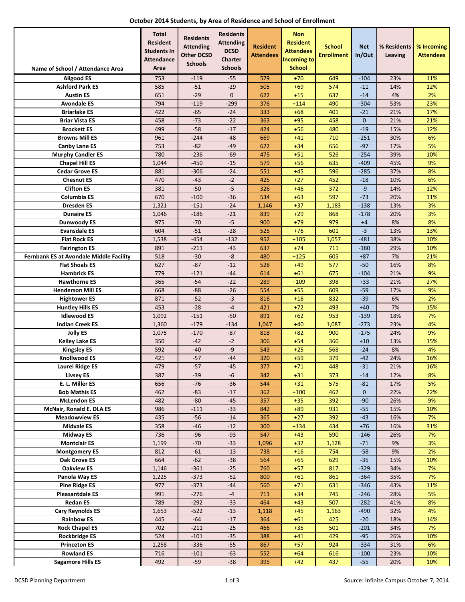| October 2014 Students, by Area of Residence and School of Enrollment |  |  |  |  |
|----------------------------------------------------------------------|--|--|--|--|
|----------------------------------------------------------------------|--|--|--|--|

|                                                 | <b>Total</b><br><b>Resident</b><br><b>Students In</b><br><b>Attendance</b> | <b>Residents</b><br><b>Attending</b><br><b>Other DCSD</b><br><b>Schools</b> | <b>Residents</b><br><b>Attending</b><br><b>DCSD</b><br><b>Charter</b> | <b>Resident</b><br><b>Attendees</b> | <b>Non</b><br><b>Resident</b><br><b>Attendees</b><br><b>Incoming to</b> | <b>School</b><br><b>Enrollment</b> | <b>Net</b><br>In/Out | % Residents<br>Leaving | % Incoming<br><b>Attendees</b> |
|-------------------------------------------------|----------------------------------------------------------------------------|-----------------------------------------------------------------------------|-----------------------------------------------------------------------|-------------------------------------|-------------------------------------------------------------------------|------------------------------------|----------------------|------------------------|--------------------------------|
| Name of School / Attendance Area                | Area                                                                       |                                                                             | <b>Schools</b>                                                        |                                     | <b>School</b>                                                           |                                    |                      |                        |                                |
| <b>Allgood ES</b>                               | 753                                                                        | $-119$                                                                      | $-55$                                                                 | 579                                 | $+70$                                                                   | 649                                | $-104$               | 23%                    | 11%                            |
| <b>Ashford Park ES</b><br><b>Austin ES</b>      | 585<br>651                                                                 | $-51$<br>$-29$                                                              | $-29$<br>$\mathbf{0}$                                                 | 505<br>622                          | $+69$<br>$+15$                                                          | 574<br>637                         | $-11$<br>$-14$       | 14%<br>4%              | 12%<br>2%                      |
| <b>Avondale ES</b>                              | 794                                                                        | $-119$                                                                      | $-299$                                                                | 376                                 | $+114$                                                                  | 490                                | $-304$               | 53%                    | 23%                            |
| <b>Briarlake ES</b>                             | 422                                                                        | $-65$                                                                       | $-24$                                                                 | 333                                 | $+68$                                                                   | 401                                | $-21$                | 21%                    | 17%                            |
| <b>Briar Vista ES</b>                           | 458                                                                        | $-73$                                                                       | $-22$                                                                 | 363                                 | $+95$                                                                   | 458                                | $\mathbf{0}$         | 21%                    | 21%                            |
| <b>Brockett ES</b>                              | 499                                                                        | $-58$                                                                       | $-17$                                                                 | 424                                 | $+56$                                                                   | 480                                | $-19$                | 15%                    | 12%                            |
| <b>Browns Mill ES</b>                           | 961                                                                        | $-244$                                                                      | $-48$                                                                 | 669                                 | $+41$                                                                   | 710                                | $-251$               | 30%                    | 6%                             |
| <b>Canby Lane ES</b>                            | 753                                                                        | $-82$                                                                       | $-49$                                                                 | 622                                 | $+34$                                                                   | 656                                | $-97$                | 17%                    | 5%                             |
| <b>Murphy Candler ES</b>                        | 780                                                                        | $-236$                                                                      | $-69$                                                                 | 475                                 | $+51$                                                                   | 526                                | $-254$               | 39%                    | 10%                            |
| <b>Chapel Hill ES</b><br><b>Cedar Grove ES</b>  | 1,044<br>881                                                               | $-450$<br>$-306$                                                            | $-15$<br>$-24$                                                        | 579<br>551                          | $+56$<br>$+45$                                                          | 635<br>596                         | $-409$<br>$-285$     | 45%<br>37%             | 9%<br>8%                       |
| <b>Chesnut ES</b>                               | 470                                                                        | $-43$                                                                       | $-2$                                                                  | 425                                 | $+27$                                                                   | 452                                | $-18$                | 10%                    | 6%                             |
| <b>Clifton ES</b>                               | 381                                                                        | $-50$                                                                       | $-5$                                                                  | 326                                 | $+46$                                                                   | 372                                | -9                   | 14%                    | 12%                            |
| <b>Columbia ES</b>                              | 670                                                                        | $-100$                                                                      | $-36$                                                                 | 534                                 | $+63$                                                                   | 597                                | $-73$                | 20%                    | 11%                            |
| <b>Dresden ES</b>                               | 1,321                                                                      | $-151$                                                                      | $-24$                                                                 | 1,146                               | $+37$                                                                   | 1,183                              | $-138$               | 13%                    | 3%                             |
| <b>Dunaire ES</b>                               | 1,046                                                                      | $-186$                                                                      | $-21$                                                                 | 839                                 | $+29$                                                                   | 868                                | $-178$               | 20%                    | 3%                             |
| <b>Dunwoody ES</b>                              | 975                                                                        | $-70$                                                                       | $-5$                                                                  | 900                                 | $+79$                                                                   | 979                                | $+4$                 | 8%                     | 8%                             |
| <b>Evansdale ES</b>                             | 604                                                                        | $-51$                                                                       | $-28$                                                                 | 525                                 | $+76$                                                                   | 601                                | $-3$                 | 13%                    | 13%                            |
| <b>Flat Rock ES</b>                             | 1,538                                                                      | $-454$                                                                      | $-132$                                                                | 952                                 | $+105$                                                                  | 1,057                              | $-481$               | 38%                    | 10%                            |
| <b>Fairington ES</b>                            | 891                                                                        | $-211$                                                                      | $-43$                                                                 | 637                                 | $+74$                                                                   | 711                                | $-180$               | 29%                    | 10%                            |
| Fernbank ES at Avondale Middle Facility         | 518                                                                        | $-30$                                                                       | -8                                                                    | 480                                 | $+125$                                                                  | 605                                | $+87$                | 7%                     | 21%                            |
| <b>Flat Shoals ES</b>                           | 627                                                                        | $-87$                                                                       | $-12$                                                                 | 528                                 | $+49$                                                                   | 577                                | $-50$                | 16%                    | 8%                             |
| <b>Hambrick ES</b>                              | 779                                                                        | $-121$                                                                      | $-44$                                                                 | 614                                 | $+61$                                                                   | 675                                | $-104$               | 21%                    | 9%                             |
| <b>Hawthorne ES</b>                             | 365                                                                        | $-54$<br>$-88$                                                              | $-22$<br>$-26$                                                        | 289                                 | $+109$                                                                  | 398                                | $+33$                | 21%<br>17%             | 27%                            |
| <b>Henderson Mill ES</b><br><b>Hightower ES</b> | 668<br>871                                                                 | $-52$                                                                       | $-3$                                                                  | 554<br>816                          | $+55$<br>$+16$                                                          | 609<br>832                         | $-59$<br>$-39$       | 6%                     | 9%<br>2%                       |
| <b>Huntley Hills ES</b>                         | 453                                                                        | $-28$                                                                       | $-4$                                                                  | 421                                 | $+72$                                                                   | 493                                | $+40$                | 7%                     | 15%                            |
| <b>Idlewood ES</b>                              | 1,092                                                                      | $-151$                                                                      | $-50$                                                                 | 891                                 | $+62$                                                                   | 953                                | $-139$               | 18%                    | 7%                             |
| <b>Indian Creek ES</b>                          | 1,360                                                                      | $-179$                                                                      | $-134$                                                                | 1,047                               | $+40$                                                                   | 1,087                              | $-273$               | 23%                    | 4%                             |
| <b>Jolly ES</b>                                 | 1,075                                                                      | $-170$                                                                      | $-87$                                                                 | 818                                 | $+82$                                                                   | 900                                | $-175$               | 24%                    | 9%                             |
| <b>Kelley Lake ES</b>                           | 350                                                                        | $-42$                                                                       | $-2$                                                                  | 306                                 | $+54$                                                                   | 360                                | $+10$                | 13%                    | 15%                            |
| <b>Kingsley ES</b>                              | 592                                                                        | $-40$                                                                       | $-9$                                                                  | 543                                 | $+25$                                                                   | 568                                | $-24$                | 8%                     | 4%                             |
| <b>Knollwood ES</b>                             | 421                                                                        | $-57$                                                                       | $-44$                                                                 | 320                                 | $+59$                                                                   | 379                                | $-42$                | 24%                    | 16%                            |
| <b>Laurel Ridge ES</b>                          | 479                                                                        | $-57$                                                                       | $-45$                                                                 | 377                                 | $+71$                                                                   | 448                                | $-31$                | 21%                    | 16%                            |
| <b>Livsey ES</b>                                | 387                                                                        | $-39$                                                                       | -6                                                                    | 342                                 | $+31$                                                                   | 373                                | -14                  | 12%                    | 8%                             |
| E. L. Miller ES                                 | 656                                                                        | $-76$                                                                       | $-36$                                                                 | 544                                 | $+31$                                                                   | 575                                | $-81$                | 17%                    | 5%                             |
| <b>Bob Mathis ES</b>                            | 462                                                                        | $-83$                                                                       | $-17$                                                                 | 362                                 | $+100$                                                                  | 462                                | $\mathbf{0}$         | 22%                    | 22%                            |
| <b>McLendon ES</b><br>McNair, Ronald E. DLA ES  | 482<br>986                                                                 | $-80$<br>$-111$                                                             | $-45$<br>$-33$                                                        | 357<br>842                          | $+35$<br>$+89$                                                          | 392<br>931                         | $-90$<br>$-55$       | 26%<br>15%             | 9%<br>10%                      |
| <b>Meadowview ES</b>                            | 435                                                                        | $-56$                                                                       | $-14$                                                                 | 365                                 | $+27$                                                                   | 392                                | $-43$                | 16%                    | 7%                             |
| <b>Midvale ES</b>                               | 358                                                                        | $-46$                                                                       | $-12$                                                                 | 300                                 | $+134$                                                                  | 434                                | $+76$                | 16%                    | 31%                            |
| Midway ES                                       | 736                                                                        | $-96$                                                                       | $-93$                                                                 | 547                                 | $+43$                                                                   | 590                                | $-146$               | 26%                    | 7%                             |
| <b>Montclair ES</b>                             | 1,199                                                                      | $-70$                                                                       | $-33$                                                                 | 1,096                               | $+32$                                                                   | 1,128                              | $-71$                | 9%                     | 3%                             |
| <b>Montgomery ES</b>                            | 812                                                                        | $-61$                                                                       | $-13$                                                                 | 738                                 | $+16$                                                                   | 754                                | $-58$                | 9%                     | 2%                             |
| <b>Oak Grove ES</b>                             | 664                                                                        | $-62$                                                                       | $-38$                                                                 | 564                                 | $+65$                                                                   | 629                                | $-35$                | 15%                    | 10%                            |
| <b>Oakview ES</b>                               | 1,146                                                                      | $-361$                                                                      | $-25$                                                                 | 760                                 | $+57$                                                                   | 817                                | $-329$               | 34%                    | 7%                             |
| Panola Way ES                                   | 1,225                                                                      | $-373$                                                                      | $-52$                                                                 | 800                                 | $+61$                                                                   | 861                                | $-364$               | 35%                    | 7%                             |
| <b>Pine Ridge ES</b>                            | 977                                                                        | $-373$                                                                      | -44                                                                   | 560                                 | $+71$                                                                   | 631                                | $-346$               | 43%                    | 11%                            |
| <b>Pleasantdale ES</b>                          | 991                                                                        | $-276$                                                                      | $-4$                                                                  | 711                                 | $+34$                                                                   | 745                                | $-246$               | 28%                    | 5%                             |
| <b>Redan ES</b>                                 | 789                                                                        | $-292$                                                                      | $-33$                                                                 | 464                                 | $+43$                                                                   | 507                                | $-282$               | 41%                    | 8%                             |
| <b>Cary Reynolds ES</b><br><b>Rainbow ES</b>    | 1,653<br>445                                                               | $-522$<br>$-64$                                                             | $-13$<br>$-17$                                                        | 1,118<br>364                        | $+45$<br>$+61$                                                          | 1,163<br>425                       | $-490$<br>$-20$      | 32%<br>18%             | 4%<br>14%                      |
| <b>Rock Chapel ES</b>                           | 702                                                                        | $-211$                                                                      | $-25$                                                                 | 466                                 | $+35$                                                                   | 501                                | $-201$               | 34%                    | 7%                             |
| <b>Rockbridge ES</b>                            | 524                                                                        | $-101$                                                                      | $-35$                                                                 | 388                                 | $+41$                                                                   | 429                                | $-95$                | 26%                    | 10%                            |
| <b>Princeton ES</b>                             | 1,258                                                                      | $-336$                                                                      | $-55$                                                                 | 867                                 | $+57$                                                                   | 924                                | $-334$               | 31%                    | 6%                             |
| <b>Rowland ES</b>                               | 716                                                                        | $-101$                                                                      | $-63$                                                                 | 552                                 | $+64$                                                                   | 616                                | $-100$               | 23%                    | 10%                            |
| <b>Sagamore Hills ES</b>                        | 492                                                                        | $-59$                                                                       | $-38$                                                                 | 395                                 | $+42$                                                                   | 437                                | $-55$                | 20%                    | 10%                            |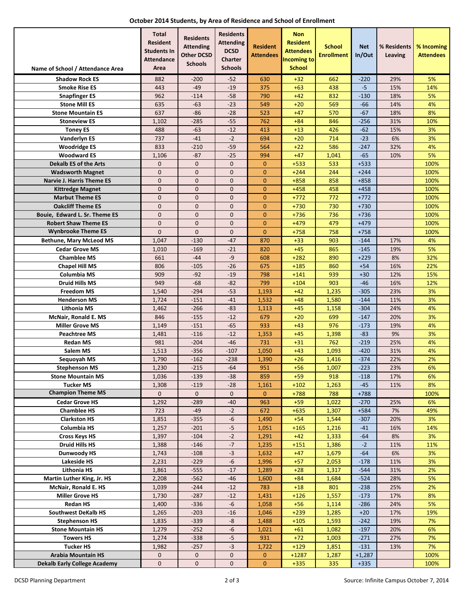|  |  | October 2014 Students, by Area of Residence and School of Enrollment |
|--|--|----------------------------------------------------------------------|
|--|--|----------------------------------------------------------------------|

|                                                    | <b>Total</b><br><b>Resident</b><br><b>Students In</b><br><b>Attendance</b> | <b>Residents</b><br><b>Attending</b><br><b>Other DCSD</b> | <b>Residents</b><br><b>Attending</b><br><b>DCSD</b><br><b>Charter</b> | <b>Resident</b><br><b>Attendees</b> | <b>Non</b><br><b>Resident</b><br><b>Attendees</b><br><b>Incoming to</b> | <b>School</b><br><b>Enrollment</b> | <b>Net</b><br>In/Out | % Residents<br>Leaving | % Incoming<br><b>Attendees</b> |
|----------------------------------------------------|----------------------------------------------------------------------------|-----------------------------------------------------------|-----------------------------------------------------------------------|-------------------------------------|-------------------------------------------------------------------------|------------------------------------|----------------------|------------------------|--------------------------------|
| Name of School / Attendance Area                   | Area                                                                       | <b>Schools</b>                                            | <b>Schools</b>                                                        |                                     | <b>School</b>                                                           |                                    |                      |                        |                                |
| <b>Shadow Rock ES</b>                              | 882                                                                        | $-200$                                                    | $-52$                                                                 | 630                                 | $+32$                                                                   | 662                                | $-220$               | 29%                    | 5%                             |
| <b>Smoke Rise ES</b>                               | 443                                                                        | $-49$                                                     | $-19$                                                                 | 375                                 | $+63$                                                                   | 438                                | $-5$                 | 15%                    | 14%                            |
| <b>Snapfinger ES</b>                               | 962                                                                        | $-114$                                                    | $-58$                                                                 | 790                                 | $+42$                                                                   | 832                                | $-130$               | 18%                    | 5%                             |
| <b>Stone Mill ES</b><br><b>Stone Mountain ES</b>   | 635<br>637                                                                 | $-63$<br>$-86$                                            | $-23$<br>$-28$                                                        | 549<br>523                          | $+20$<br>$+47$                                                          | 569<br>570                         | $-66$<br>$-67$       | 14%<br>18%             | 4%<br>8%                       |
| <b>Stoneview ES</b>                                | 1,102                                                                      | $-285$                                                    | $-55$                                                                 | 762                                 | $+84$                                                                   | 846                                | $-256$               | 31%                    | 10%                            |
| <b>Toney ES</b>                                    | 488                                                                        | $-63$                                                     | $-12$                                                                 | 413                                 | $+13$                                                                   | 426                                | $-62$                | 15%                    | 3%                             |
| <b>Vanderlyn ES</b>                                | 737                                                                        | $-41$                                                     | $-2$                                                                  | 694                                 | $+20$                                                                   | 714                                | $-23$                | 6%                     | 3%                             |
| <b>Woodridge ES</b>                                | 833                                                                        | $-210$                                                    | $-59$                                                                 | 564                                 | $+22$                                                                   | 586                                | -247                 | 32%                    | 4%                             |
| <b>Woodward ES</b>                                 | 1,106                                                                      | $-87$                                                     | $-25$                                                                 | 994                                 | $+47$                                                                   | 1,041                              | $-65$                | 10%                    | 5%                             |
| <b>Dekalb ES of the Arts</b>                       | 0                                                                          | $\mathbf 0$                                               | $\mathbf 0$                                                           | $\mathbf{0}$                        | $+533$                                                                  | 533                                | $+533$               |                        | 100%                           |
| <b>Wadsworth Magnet</b>                            | $\mathbf{0}$                                                               | $\overline{0}$                                            | $\mathbf{0}$                                                          | $\overline{0}$                      | $+244$                                                                  | 244                                | $+244$               |                        | 100%                           |
| Narvie J. Harris Theme ES                          | $\mathbf{0}$<br>$\mathbf{0}$                                               | $\mathbf{0}$<br>$\mathbf 0$                               | $\mathbf{0}$<br>$\mathbf 0$                                           | $\mathbf{0}$<br>$\mathbf{0}$        | $+858$<br>$+458$                                                        | 858<br>458                         | $+858$<br>$+458$     |                        | 100%<br>100%                   |
| Kittredge Magnet<br><b>Marbut Theme ES</b>         | $\mathbf{0}$                                                               | $\mathbf{0}$                                              | $\mathbf{0}$                                                          | $\mathbf{0}$                        | $+772$                                                                  | 772                                | $+772$               |                        | 100%                           |
| <b>Oakcliff Theme ES</b>                           | $\mathbf 0$                                                                | $\mathbf 0$                                               | $\mathbf 0$                                                           | $\mathbf{0}$                        | $+730$                                                                  | 730                                | $+730$               |                        | 100%                           |
| Bouie, Edward L. Sr. Theme ES                      | $\mathbf{0}$                                                               | $\mathbf{0}$                                              | $\mathbf{0}$                                                          | $\mathbf{0}$                        | $+736$                                                                  | 736                                | $+736$               |                        | 100%                           |
| <b>Robert Shaw Theme ES</b>                        | $\mathbf 0$                                                                | $\mathbf{0}$                                              | $\mathbf 0$                                                           | $\mathbf{0}$                        | $+479$                                                                  | 479                                | $+479$               |                        | 100%                           |
| <b>Wynbrooke Theme ES</b>                          | $\overline{0}$                                                             | $\overline{0}$                                            | $\overline{0}$                                                        | $\overline{0}$                      | $+758$                                                                  | 758                                | $+758$               |                        | 100%                           |
| <b>Bethune, Mary McLeod MS</b>                     | 1,047                                                                      | $-130$                                                    | $-47$                                                                 | 870                                 | $+33$                                                                   | 903                                | $-144$               | 17%                    | 4%                             |
| <b>Cedar Grove MS</b>                              | 1,010                                                                      | $-169$                                                    | $-21$                                                                 | 820                                 | $+45$                                                                   | 865                                | $-145$               | 19%                    | 5%                             |
| <b>Chamblee MS</b>                                 | 661                                                                        | $-44$                                                     | -9                                                                    | 608                                 | $+282$                                                                  | 890                                | $+229$               | 8%                     | 32%                            |
| <b>Chapel Hill MS</b><br>Columbia MS               | 806<br>909                                                                 | $-105$<br>$-92$                                           | $-26$<br>$-19$                                                        | 675<br>798                          | $+185$                                                                  | 860<br>939                         | $+54$                | 16%<br>12%             | 22%<br>15%                     |
| <b>Druid Hills MS</b>                              | 949                                                                        | $-68$                                                     | $-82$                                                                 | 799                                 | $+141$<br>$+104$                                                        | 903                                | $+30$<br>$-46$       | 16%                    | 12%                            |
| <b>Freedom MS</b>                                  | 1,540                                                                      | $-294$                                                    | $-53$                                                                 | 1,193                               | $+42$                                                                   | 1,235                              | $-305$               | 23%                    | 3%                             |
| <b>Henderson MS</b>                                | 1,724                                                                      | $-151$                                                    | $-41$                                                                 | 1,532                               | $+48$                                                                   | 1,580                              | $-144$               | 11%                    | 3%                             |
| <b>Lithonia MS</b>                                 | 1,462                                                                      | $-266$                                                    | $-83$                                                                 | 1,113                               | $+45$                                                                   | 1,158                              | $-304$               | 24%                    | 4%                             |
| <b>McNair, Ronald E. MS</b>                        | 846                                                                        | $-155$                                                    | $-12$                                                                 | 679                                 | $+20$                                                                   | 699                                | $-147$               | 20%                    | 3%                             |
| <b>Miller Grove MS</b>                             | 1,149                                                                      | $-151$                                                    | $-65$                                                                 | 933                                 | $+43$                                                                   | 976                                | $-173$               | 19%                    | 4%                             |
| <b>Peachtree MS</b>                                | 1,481                                                                      | $-116$                                                    | $-12$                                                                 | 1,353                               | $+45$                                                                   | 1,398                              | $-83$                | 9%                     | 3%                             |
| <b>Redan MS</b>                                    | 981                                                                        | $-204$                                                    | $-46$                                                                 | 731                                 | $+31$                                                                   | 762                                | $-219$               | 25%                    | 4%<br>4%                       |
| Salem MS<br>Seguoyah MS                            | 1,513<br>1,790                                                             | $-356$<br>$-162$                                          | $-107$<br>$-238$                                                      | 1,050<br>1,390                      | $+43$<br>$+26$                                                          | 1,093<br>1,416                     | $-420$<br>$-374$     | 31%<br>22%             | 2%                             |
| <b>Stephenson MS</b>                               | 1,230                                                                      | $-215$                                                    | $-64$                                                                 | 951                                 | $+56$                                                                   | 1,007                              | $-223$               | 23%                    | 6%                             |
| <b>Stone Mountain MS</b>                           | 1,036                                                                      | $-139$                                                    | -38                                                                   | 859                                 | $+59$                                                                   | 918                                | $-118$               | 17%                    | 6%                             |
| <b>Tucker MS</b>                                   | 1,308                                                                      | $-119$                                                    | -28                                                                   | 1,161                               | $+102$                                                                  | 1,263                              | -45                  | 11%                    | 8%                             |
| <b>Champion Theme MS</b>                           | 0                                                                          | $\mathbf{0}$                                              | $\mathbf{0}$                                                          | $\mathbf{0}$                        | $+788$                                                                  | 788                                | $+788$               |                        | 100%                           |
| <b>Cedar Grove HS</b>                              | 1,292                                                                      | -289                                                      | -40                                                                   | 963                                 | $+59$                                                                   | 1,022                              | $-270$               | 25%                    | 6%                             |
| <b>Chamblee HS</b>                                 | 723                                                                        | -49                                                       | $-2$                                                                  | 672                                 | $+635$                                                                  | 1,307                              | $+584$               | 7%                     | 49%                            |
| <b>Clarkston HS</b>                                | 1,851                                                                      | $-355$                                                    | -6                                                                    | 1,490                               | $+54$                                                                   | 1,544                              | $-307$               | 20%                    | 3%                             |
| Columbia HS                                        | 1,257                                                                      | $-201$<br>$-104$                                          | $-5$<br>$-2$                                                          | 1,051                               | $+165$<br>$+42$                                                         | 1,216                              | $-41$                | 16%                    | 14%<br>3%                      |
| <b>Cross Keys HS</b><br><b>Druid Hills HS</b>      | 1,397<br>1,388                                                             | $-146$                                                    | $-7$                                                                  | 1,291<br>1,235                      | $+151$                                                                  | 1,333<br>1,386                     | $-64$<br>$-2$        | 8%<br>11%              | 11%                            |
| <b>Dunwoody HS</b>                                 | 1,743                                                                      | $-108$                                                    | $-3$                                                                  | 1,632                               | $+47$                                                                   | 1,679                              | -64                  | 6%                     | 3%                             |
| Lakeside HS                                        | 2,231                                                                      | $-229$                                                    | $-6$                                                                  | 1,996                               | $+57$                                                                   | 2,053                              | $-178$               | 11%                    | 3%                             |
| <b>Lithonia HS</b>                                 | 1,861                                                                      | $-555$                                                    | -17                                                                   | 1,289                               | $+28$                                                                   | 1,317                              | $-544$               | 31%                    | 2%                             |
| Martin Luther King, Jr. HS                         | 2,208                                                                      | $-562$                                                    | -46                                                                   | 1,600                               | $+84$                                                                   | 1,684                              | $-524$               | 28%                    | 5%                             |
| <b>McNair, Ronald E. HS</b>                        | 1,039                                                                      | $-244$                                                    | $-12$                                                                 | 783                                 | $+18$                                                                   | 801                                | $-238$               | 25%                    | 2%                             |
| <b>Miller Grove HS</b>                             | 1,730                                                                      | $-287$                                                    | $-12$                                                                 | 1,431                               | $+126$                                                                  | 1,557                              | $-173$               | 17%                    | 8%                             |
| <b>Redan HS</b>                                    | 1,400                                                                      | $-336$                                                    | -6                                                                    | 1,058                               | $+56$                                                                   | 1,114                              | $-286$               | 24%                    | 5%                             |
| <b>Southwest DeKalb HS</b><br><b>Stephenson HS</b> | 1,265<br>1,835                                                             | $-203$<br>$-339$                                          | -16<br>-8                                                             | 1,046<br>1,488                      | $+239$<br>$+105$                                                        | 1,285<br>1,593                     | $+20$<br>$-242$      | 17%<br>19%             | 19%<br>7%                      |
| <b>Stone Mountain HS</b>                           | 1,279                                                                      | $-252$                                                    | $-6$                                                                  | 1,021                               | $+61$                                                                   | 1,082                              | $-197$               | 20%                    | 6%                             |
| <b>Towers HS</b>                                   | 1,274                                                                      | $-338$                                                    | $-5$                                                                  | 931                                 | $+72$                                                                   | 1,003                              | $-271$               | 27%                    | 7%                             |
| <b>Tucker HS</b>                                   | 1,982                                                                      | $-257$                                                    | $-3$                                                                  | 1,722                               | $+129$                                                                  | 1,851                              | $-131$               | 13%                    | 7%                             |
| <b>Arabia Mountain HS</b>                          | 0                                                                          | $\mathbf 0$                                               | $\pmb{0}$                                                             | $\mathbf{0}$                        | $+1287$                                                                 | 1,287                              | $+1,287$             |                        | 100%                           |
| <b>Dekalb Early College Academy</b>                | $\boldsymbol{0}$                                                           | $\mathbf{0}$                                              | $\pmb{0}$                                                             | $\mathbf{0}$                        | $+335$                                                                  | 335                                | $+335$               |                        | 100%                           |